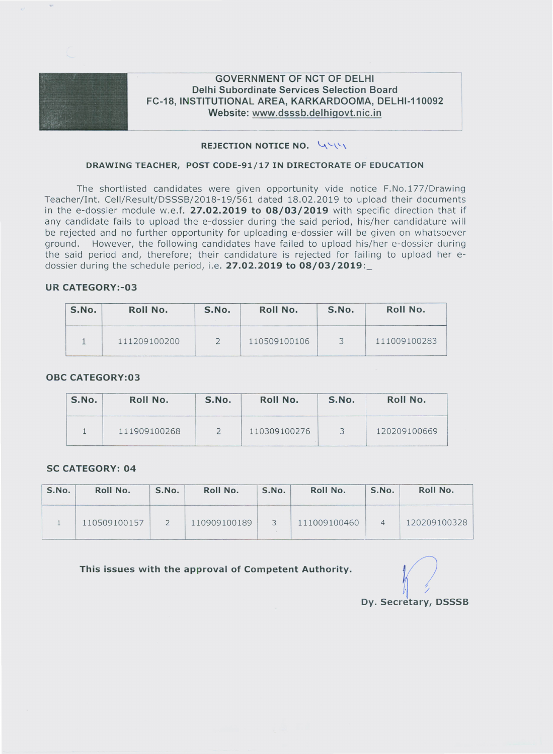

# **GOVERNMENT OF NCT OF DELHI Delhi Subordinate Services Selection Board FC-18, INSTITUTIONAL AREA, KARKARDOOMA, DELHI-110092 Website: www.dsssb.delhigovt.nic.in**

# **REJECTION NOTICE NO.** 444

## **DRAWING TEACHER, POST CODE-9l/l7 IN DIRECTORATE OF EDUCATION**

The shortlisted candidates were given opportunity vide notice F.No.177/Drawing Teacher/Int. Cell/Result/DSSSB/2018-19/561 dated 18.02.2019 to upload their documents in the e-dossier module w.e.f. **27.02.2019 to 08/03/2019** with specific direction that if any candidate fails to upload the e-dossier during the said period, his/her candidature will be rejected and no further opportunity for uploading e-dossier will be given on whatsoever ground. However, the following candidates have failed to upload his/her e-dossier during the said period and, therefore; their candidature is rejected for failing to upload her edossier during the schedule period, i.e. **27.02.2019 to 08/03/2019:\_**

## **UR CATEGORY:-03**

| S.No. | Roll No.     | S.No. | Roll No.     | S.No. | Roll No.     |
|-------|--------------|-------|--------------|-------|--------------|
|       | 111209100200 |       | 110509100106 |       | 111009100283 |

## **OBC CATEGORY:03**

| S.No. | Roll No.     | S.No. |              | S.No. | Roll No.     |  |
|-------|--------------|-------|--------------|-------|--------------|--|
|       | 111909100268 |       | 110309100276 |       | 120209100669 |  |

#### **SC CATEGORY: 04**

| S.No. | Roll No.     | S.No. | Roll No.     | S.No.        | Roll No.     | S.No. | Roll No.     |
|-------|--------------|-------|--------------|--------------|--------------|-------|--------------|
|       | 110509100157 |       | 110909100189 | $\mathbf{R}$ | 111009100460 |       | 120209100328 |

**This issues with the approval of Competent Authority.** (7

**Dy. Secretary, DSSSB**